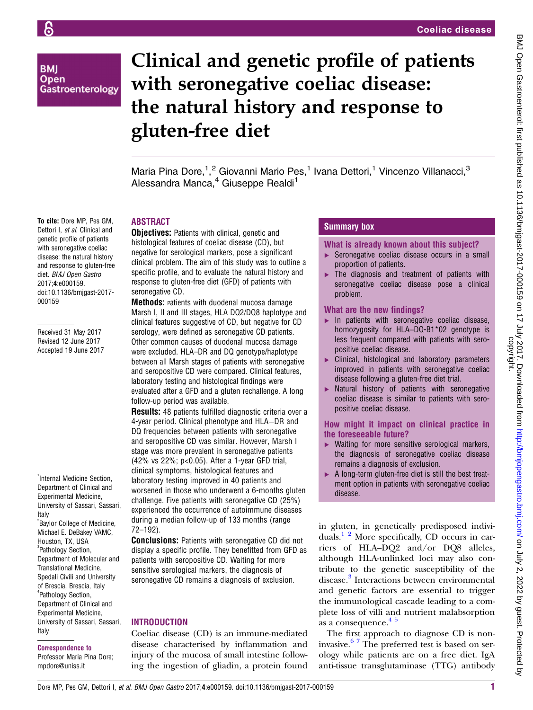# **BMI** Open Gastroenterology

genetic profile of patients with seronegative coeliac disease: the natural history and response to gluten-free diet. BMJ Open Gastro 2017;4:e000159. doi:10.1136/bmjgast-2017-

Received 31 May 2017 Revised 12 June 2017 Accepted 19 June 2017

000159

# Clinical and genetic profile of patients with seronegative coeliac disease: the natural history and response to gluten-free diet

Maria Pina Dore,<sup>1</sup>,<sup>2</sup> Giovanni Mario Pes,<sup>1</sup> Ivana Dettori,<sup>1</sup> Vincenzo Villanacci,<sup>3</sup> Alessandra Manca,<sup>4</sup> Giuseppe Realdi<sup>1</sup>

#### To cite: Dore MP, Pes GM, Dettori I, et al. Clinical and ABSTRACT

**Objectives:** Patients with clinical, genetic and histological features of coeliac disease (CD), but negative for serological markers, pose a significant clinical problem. The aim of this study was to outline a specific profile, and to evaluate the natural history and response to gluten-free diet (GFD) of patients with seronegative CD.

**Methods:** Patients with duodenal mucosa damage Marsh I, II and III stages, HLA DQ2/DQ8 haplotype and clinical features suggestive of CD, but negative for CD serology, were defined as seronegative CD patients. Other common causes of duodenal mucosa damage were excluded. HLA–DR and DQ genotype/haplotype between all Marsh stages of patients with seronegative and seropositive CD were compared. Clinical features, laboratory testing and histological findings were evaluated after a GFD and a gluten rechallenge. A long follow-up period was available.

Results: 48 patients fulfilled diagnostic criteria over a 4-year period. Clinical phenotype and HLA−DR and DQ frequencies between patients with seronegative and seropositive CD was similar. However, Marsh I stage was more prevalent in seronegative patients (42% vs 22%; p<0.05). After a 1-year GFD trial, clinical symptoms, histological features and laboratory testing improved in 40 patients and worsened in those who underwent a 6-months gluten challenge. Five patients with seronegative CD (25%) experienced the occurrence of autoimmune diseases during a median follow-up of 133 months (range 72–192).

**Conclusions:** Patients with seronegative CD did not display a specific profile. They benefitted from GFD as patients with seropositive CD. Waiting for more sensitive serological markers, the diagnosis of seronegative CD remains a diagnosis of exclusion.

# **INTRODUCTION**

Coeliac disease (CD) is an immune-mediated disease characterised by inflammation and injury of the mucosa of small intestine following the ingestion of gliadin, a protein found

# Summary box

#### What is already known about this subject?

- ▶ Seronegative coeliac disease occurs in a small proportion of patients.
- ▸ The diagnosis and treatment of patients with seronegative coeliac disease pose a clinical problem.

#### What are the new findings?

- ▸ In patients with seronegative coeliac disease, homozygosity for HLA–DQ-B1\*02 genotype is less frequent compared with patients with seropositive coeliac disease.
- Clinical, histological and laboratory parameters improved in patients with seronegative coeliac disease following a gluten-free diet trial.
- ▸ Natural history of patients with seronegative coeliac disease is similar to patients with seropositive coeliac disease.

#### How might it impact on clinical practice in the foreseeable future?

- ▶ Waiting for more sensitive serological markers, the diagnosis of seronegative coeliac disease remains a diagnosis of exclusion.
- ▶ A long-term gluten-free diet is still the best treatment option in patients with seronegative coeliac disease.

in gluten, in genetically predisposed individuals.[1 2](#page-7-0) More specifically, CD occurs in carriers of HLA–DQ2 and/or DQ8 alleles, although HLA-unlinked loci may also contribute to the genetic susceptibility of the disease.<sup>[3](#page-7-0)</sup> Interactions between environmental and genetic factors are essential to trigger the immunological cascade leading to a complete loss of villi and nutrient malabsorption .<br>as a consequence.<sup>45</sup>

The first approach to diagnose CD is noninvasive.[6 7](#page-7-0) The preferred test is based on serology while patients are on a free diet. IgA anti-tissue transglutaminase (TTG) antibody

<sup>1</sup>Internal Medicine Section, Department of Clinical and Experimental Medicine, University of Sassari, Sassari, Italy

<sup>2</sup> Baylor College of Medicine, Michael E. DeBakey VAMC, Houston, TX, USA <sup>3</sup>Pathology Section, Department of Molecular and Translational Medicine, Spedali Civili and University of Brescia, Brescia, Italy 4 Pathology Section, Department of Clinical and Experimental Medicine, University of Sassari, Sassari, Italy

#### Correspondence to

Professor Maria Pina Dore; mpdore@uniss.it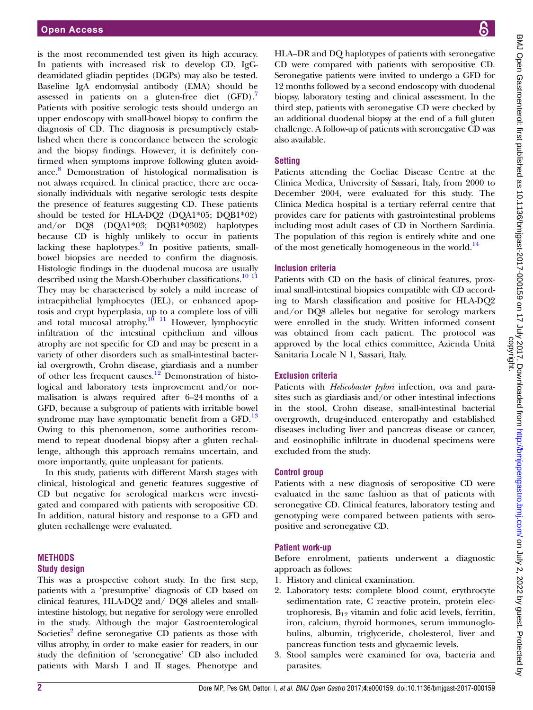is the most recommended test given its high accuracy. In patients with increased risk to develop CD, IgGdeamidated gliadin peptides (DGPs) may also be tested. Baseline IgA endomysial antibody (EMA) should be assessed in patients on a gluten-free diet  $(GFD)$ . Patients with positive serologic tests should undergo an upper endoscopy with small-bowel biopsy to confirm the diagnosis of CD. The diagnosis is presumptively established when there is concordance between the serologic and the biopsy findings. However, it is definitely confirmed when symptoms improve following gluten avoidance.[8](#page-7-0) Demonstration of histological normalisation is not always required. In clinical practice, there are occasionally individuals with negative serologic tests despite the presence of features suggesting CD. These patients should be tested for HLA-DQ2 (DQA1\*05; DQB1\*02) and/or DQ8 (DQA1\*03; DQB1\*0302) haplotypes because CD is highly unlikely to occur in patients lacking these haplotypes. $9$  In positive patients, smallbowel biopsies are needed to confirm the diagnosis. Histologic findings in the duodenal mucosa are usually described using the Marsh-Oberhuber classifications.<sup>[10 11](#page-7-0)</sup> They may be characterised by solely a mild increase of intraepithelial lymphocytes (IEL), or enhanced apoptosis and crypt hyperplasia, up to a complete loss of villi and total mucosal atrophy. $\frac{10}{11}$  However, lymphocytic infiltration of the intestinal epithelium and villous atrophy are not specific for CD and may be present in a variety of other disorders such as small-intestinal bacterial overgrowth, Crohn disease, giardiasis and a number of other less frequent causes.<sup>[12](#page-7-0)</sup> Demonstration of histological and laboratory tests improvement and/or normalisation is always required after 6–24 months of a GFD, because a subgroup of patients with irritable bowel syndrome may have symptomatic benefit from a  $\text{GFD}$ .<sup>[13](#page-7-0)</sup> Owing to this phenomenon, some authorities recommend to repeat duodenal biopsy after a gluten rechallenge, although this approach remains uncertain, and more importantly, quite unpleasant for patients.

In this study, patients with different Marsh stages with clinical, histological and genetic features suggestive of CD but negative for serological markers were investigated and compared with patients with seropositive CD. In addition, natural history and response to a GFD and gluten rechallenge were evaluated.

#### **METHODS** Study design

This was a prospective cohort study. In the first step, patients with a 'presumptive' diagnosis of CD based on clinical features, HLA-DQ2 and/ DQ8 alleles and smallintestine histology, but negative for serology were enrolled in the study. Although the major Gastroenterological Societies<sup>2</sup> define seronegative CD patients as those with villus atrophy, in order to make easier for readers, in our study the definition of 'seronegative' CD also included patients with Marsh I and II stages. Phenotype and BMJ Open Gastroenterol: first published as 10.1136/bmigast-2017-000159 on 17 July 2017. Downloaded from http://bmjopengastro.bmj.com/ on July 2, 2022 by guest. Protected by<br>copyright. BMJ Open Gastroenterol: first published as 10.1136/bmjgast-2017-000159 on 17 July 2017. Downloaded from <http://bmjopengastro.bmj.com/> on July 2, 2022 by guest. Protected by

HLA–DR and DQ haplotypes of patients with seronegative CD were compared with patients with seropositive CD. Seronegative patients were invited to undergo a GFD for 12 months followed by a second endoscopy with duodenal biopsy, laboratory testing and clinical assessment. In the third step, patients with seronegative CD were checked by an additional duodenal biopsy at the end of a full gluten challenge. A follow-up of patients with seronegative CD was also available.

# **Setting**

Patients attending the Coeliac Disease Centre at the Clinica Medica, University of Sassari, Italy, from 2000 to December 2004, were evaluated for this study. The Clinica Medica hospital is a tertiary referral centre that provides care for patients with gastrointestinal problems including most adult cases of CD in Northern Sardinia. The population of this region is entirely white and one of the most genetically homogeneous in the world. $^{14}$  $^{14}$  $^{14}$ 

# Inclusion criteria

Patients with CD on the basis of clinical features, proximal small-intestinal biopsies compatible with CD according to Marsh classification and positive for HLA-DQ2 and/or DQ8 alleles but negative for serology markers were enrolled in the study. Written informed consent was obtained from each patient. The protocol was approved by the local ethics committee, Azienda Unità Sanitaria Locale N 1, Sassari, Italy.

# Exclusion criteria

Patients with *Helicobacter pylori* infection, ova and parasites such as giardiasis and/or other intestinal infections in the stool, Crohn disease, small-intestinal bacterial overgrowth, drug-induced enteropathy and established diseases including liver and pancreas disease or cancer, and eosinophilic infiltrate in duodenal specimens were excluded from the study.

# Control group

Patients with a new diagnosis of seropositive CD were evaluated in the same fashion as that of patients with seronegative CD. Clinical features, laboratory testing and genotyping were compared between patients with seropositive and seronegative CD.

# Patient work-up

Before enrolment, patients underwent a diagnostic approach as follows:

- 1. History and clinical examination.
- 2. Laboratory tests: complete blood count, erythrocyte sedimentation rate, C reactive protein, protein electrophoresis,  $B_{12}$  vitamin and folic acid levels, ferritin, iron, calcium, thyroid hormones, serum immunoglobulins, albumin, triglyceride, cholesterol, liver and pancreas function tests and glycaemic levels.
- 3. Stool samples were examined for ova, bacteria and parasites.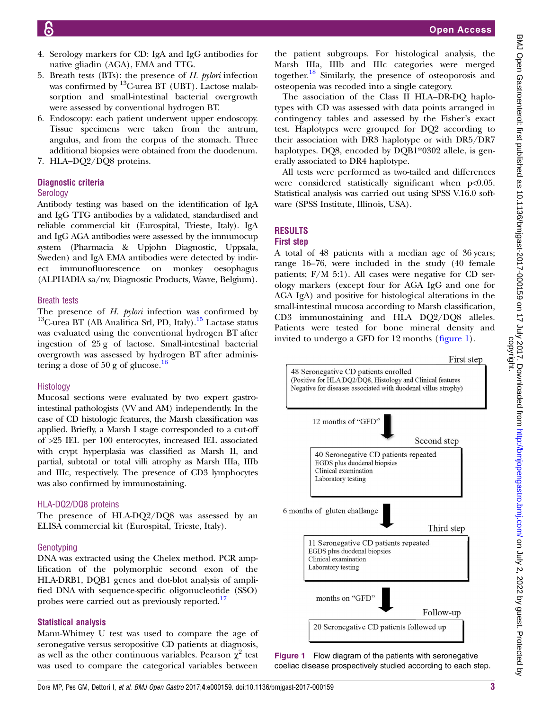- <span id="page-2-0"></span>
- 4. Serology markers for CD: IgA and IgG antibodies for native gliadin (AGA), EMA and TTG.
- 5. Breath tests (BTs): the presence of  $H$ . pylori infection was confirmed by 13C-urea BT (UBT). Lactose malabsorption and small-intestinal bacterial overgrowth were assessed by conventional hydrogen BT.
- 6. Endoscopy: each patient underwent upper endoscopy. Tissue specimens were taken from the antrum, angulus, and from the corpus of the stomach. Three additional biopsies were obtained from the duodenum.
- 7. HLA–DQ2/DQ8 proteins.

# Diagnostic criteria

# **Serology**

Antibody testing was based on the identification of IgA and IgG TTG antibodies by a validated, standardised and reliable commercial kit (Eurospital, Trieste, Italy). IgA and IgG AGA antibodies were assessed by the immunocup system (Pharmacia & Upjohn Diagnostic, Uppsala, Sweden) and IgA EMA antibodies were detected by indirect immunofluorescence on monkey oesophagus (ALPHADIA sa/nv, Diagnostic Products, Wavre, Belgium).

#### Breath tests

The presence of  $H$ . *pylori* infection was confirmed by  $13^{\circ}$ C-urea BT (AB Analitica Srl, PD, Italy).<sup>15</sup> Lactase status was evaluated using the conventional hydrogen BT after ingestion of 25 g of lactose. Small-intestinal bacterial overgrowth was assessed by hydrogen BT after administering a dose of 50 g of glucose. $\frac{16}{6}$  $\frac{16}{6}$  $\frac{16}{6}$ 

# Histology

Mucosal sections were evaluated by two expert gastrointestinal pathologists (VV and AM) independently. In the case of CD histologic features, the Marsh classification was applied. Briefly, a Marsh I stage corresponded to a cut-off of >25 IEL per 100 enterocytes, increased IEL associated with crypt hyperplasia was classified as Marsh II, and partial, subtotal or total villi atrophy as Marsh IIIa, IIIb and IIIc, respectively. The presence of CD3 lymphocytes was also confirmed by immunostaining.

# HLA-DQ2/DQ8 proteins

The presence of HLA-DQ2/DQ8 was assessed by an ELISA commercial kit (Eurospital, Trieste, Italy).

# Genotyping

DNA was extracted using the Chelex method. PCR amplification of the polymorphic second exon of the HLA-DRB1, DQB1 genes and dot-blot analysis of amplified DNA with sequence-specific oligonucleotide (SSO) probes were carried out as previously reported.<sup>[17](#page-7-0)</sup>

# Statistical analysis

Mann-Whitney U test was used to compare the age of seronegative versus seropositive CD patients at diagnosis, as well as the other continuous variables. Pearson  $\chi^2$  test was used to compare the categorical variables between the patient subgroups. For histological analysis, the Marsh IIIa, IIIb and IIIc categories were merged together[.18](#page-7-0) Similarly, the presence of osteoporosis and osteopenia was recoded into a single category.

The association of the Class II HLA–DR-DQ haplotypes with CD was assessed with data points arranged in contingency tables and assessed by the Fisher's exact test. Haplotypes were grouped for DQ2 according to their association with DR3 haplotype or with DR5/DR7 haplotypes. DQ8, encoded by DQB1\*0302 allele, is generally associated to DR4 haplotype.

All tests were performed as two-tailed and differences were considered statistically significant when p<0.05. Statistical analysis was carried out using SPSS V.16.0 software (SPSS Institute, Illinois, USA).

# **RESULTS**

#### First step

A total of 48 patients with a median age of 36 years; range 16–76, were included in the study (40 female patients; F/M 5:1). All cases were negative for CD serology markers (except four for AGA IgG and one for AGA IgA) and positive for histological alterations in the small-intestinal mucosa according to Marsh classification, CD3 immunostaining and HLA DQ2/DQ8 alleles. Patients were tested for bone mineral density and invited to undergo a GFD for 12 months (figure 1).



Figure 1 Flow diagram of the patients with seronegative coeliac disease prospectively studied according to each step.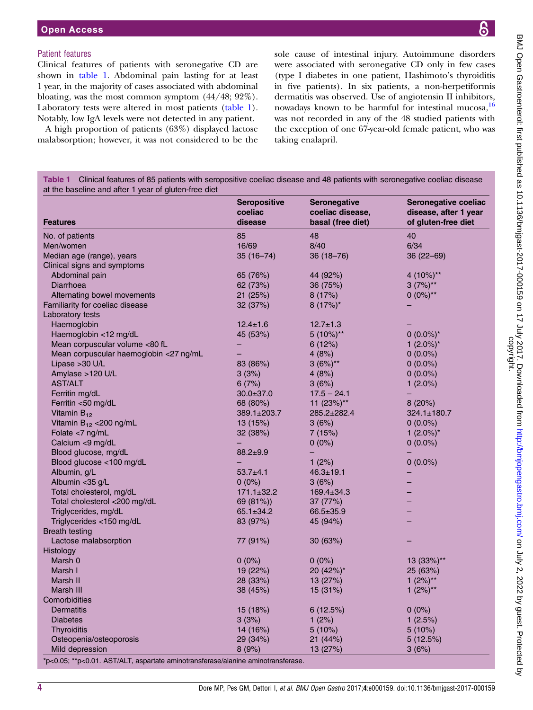#### <span id="page-3-0"></span>Patient features

Clinical features of patients with seronegative CD are shown in table 1. Abdominal pain lasting for at least 1 year, in the majority of cases associated with abdominal bloating, was the most common symptom (44/48; 92%). Laboratory tests were altered in most patients (table 1). Notably, low IgA levels were not detected in any patient.

A high proportion of patients (63%) displayed lactose malabsorption; however, it was not considered to be the sole cause of intestinal injury. Autoimmune disorders were associated with seronegative CD only in few cases (type I diabetes in one patient, Hashimoto's thyroiditis in five patients). In six patients, a non-herpetiformis dermatitis was observed. Use of angiotensin II inhibitors, nowadays known to be harmful for intestinal mucosa, <sup>[16](#page-7-0)</sup> was not recorded in any of the 48 studied patients with the exception of one 67-year-old female patient, who was taking enalapril.

Table 1 Clinical features of 85 patients with seropositive coeliac disease and 48 patients with seronegative coeliac disease at the baseline and after 1 year of gluten-free diet

|                                                                                  | Seropositive       | Seronegative                          | Seronegative coeliac                         |
|----------------------------------------------------------------------------------|--------------------|---------------------------------------|----------------------------------------------|
| <b>Features</b>                                                                  | coeliac<br>disease | coeliac disease,<br>basal (free diet) | disease, after 1 year<br>of gluten-free diet |
| No. of patients                                                                  | 85                 | 48                                    | 40                                           |
| Men/women                                                                        | 16/69              | 8/40                                  | 6/34                                         |
| Median age (range), years                                                        | 35 (16–74)         | $36(18 - 76)$                         | 36 (22-69)                                   |
| Clinical signs and symptoms                                                      |                    |                                       |                                              |
| Abdominal pain                                                                   | 65 (76%)           | 44 (92%)                              | 4 (10%)**                                    |
| Diarrhoea                                                                        | 62 (73%)           | 36(75%)                               | $3(7%)**$                                    |
| Alternating bowel movements                                                      | 21 (25%)           | 8(17%)                                | $0(0\%)^{**}$                                |
| Familiarity for coeliac disease                                                  | 32 (37%)           | $8(17%)^*$                            |                                              |
| Laboratory tests                                                                 |                    |                                       |                                              |
| Haemoglobin                                                                      | $12.4 \pm 1.6$     | $12.7 \pm 1.3$                        |                                              |
| Haemoglobin <12 mg/dL                                                            | 45 (53%)           | $5(10\%)$ **                          | $0(0.0\%)^*$                                 |
| Mean corpuscular volume <80 fL                                                   |                    | 6(12%)                                | 1 $(2.0\%)^*$                                |
| Mean corpuscular haemoglobin <27 ng/mL                                           |                    | 4(8%)                                 | $0(0.0\%)$                                   |
| Lipase $>30$ U/L                                                                 | 83 (86%)           | $3(6%)**$                             | $0(0.0\%)$                                   |
| Amylase >120 U/L                                                                 | 3(3%)              | 4(8%)                                 | $0(0.0\%)$                                   |
| <b>AST/ALT</b>                                                                   | 6(7%)              | 3(6%)                                 | 1 $(2.0\%)$                                  |
| Ferritin mg/dL                                                                   | $30.0 \pm 37.0$    | $17.5 - 24.1$                         |                                              |
| Ferritin <50 mg/dL                                                               | 68 (80%)           | 11 $(23%)$ <sup>**</sup>              | 8(20%)                                       |
| Vitamin $B_{12}$                                                                 | 389.1±203.7        | 285.2±282.4                           | $324.1 \pm 180.7$                            |
| Vitamin $B_{12}$ < 200 ng/mL                                                     | 13 (15%)           | 3(6%)                                 | $0(0.0\%)$                                   |
| Folate $<$ 7 ng/mL                                                               | 32 (38%)           | 7(15%)                                | 1 $(2.0\%)^*$                                |
| Calcium <9 mg/dL                                                                 |                    | $0(0\%)$                              | $0(0.0\%)$                                   |
| Blood glucose, mg/dL                                                             | $88.2 + 9.9$       |                                       |                                              |
| Blood glucose <100 mg/dL                                                         |                    | 1 $(2%)$                              | $0(0.0\%)$                                   |
| Albumin, g/L                                                                     | $53.7 + 4.1$       | $46.3 \pm 19.1$                       |                                              |
| Albumin < 35 g/L                                                                 | $0(0\%)$           | 3(6%)                                 |                                              |
| Total cholesterol, mg/dL                                                         | $171.1 \pm 32.2$   | $169.4 \pm 34.3$                      |                                              |
| Total cholesterol <200 mg//dL                                                    | 69 (81%))          | 37 (77%)                              |                                              |
| Triglycerides, mg/dL                                                             | $65.1 \pm 34.2$    | $66.5 \pm 35.9$                       |                                              |
| Triglycerides <150 mg/dL                                                         | 83 (97%)           | 45 (94%)                              |                                              |
| <b>Breath testing</b>                                                            |                    |                                       |                                              |
| Lactose malabsorption                                                            | 77 (91%)           | 30(63%)                               |                                              |
| Histology                                                                        |                    |                                       |                                              |
| Marsh 0                                                                          | $0(0\%)$           | $0(0\%)$                              | $13(33\%)$ **                                |
| Marsh I                                                                          | 19(22%)            | 20 (42%)*                             | 25 (63%)                                     |
| Marsh II                                                                         | 28 (33%)           | 13(27%)                               | 1 $(2%)^{**}$                                |
| Marsh III                                                                        | 38 (45%)           | 15(31%)                               | 1 $(2%)^{**}$                                |
| Comorbidities                                                                    |                    |                                       |                                              |
| Dermatitis                                                                       | 15 (18%)           | 6(12.5%)                              | $0(0\%)$                                     |
| <b>Diabetes</b>                                                                  | 3(3%)              | 1(2%)                                 | 1(2.5%)                                      |
| <b>Thyroiditis</b>                                                               | 14 (16%)           | $5(10\%)$                             | 5(10%)                                       |
| Osteopenia/osteoporosis                                                          | 29 (34%)           | 21 (44%)                              | 5(12.5%)                                     |
| Mild depression                                                                  | 8(9%)              | 13 (27%)                              | 3(6%)                                        |
| *p<0.05; **p<0.01. AST/ALT, aspartate aminotransferase/alanine aminotransferase. |                    |                                       |                                              |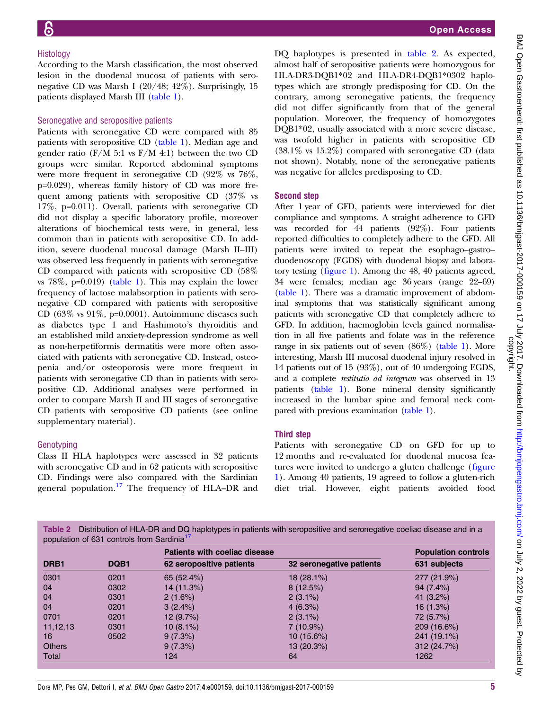#### Histology

According to the Marsh classification, the most observed lesion in the duodenal mucosa of patients with seronegative CD was Marsh I (20/48; 42%). Surprisingly, 15 patients displayed Marsh III [\(table 1\)](#page-3-0).

#### Seronegative and seropositive patients

Patients with seronegative CD were compared with 85 patients with seropositive CD ([table 1\)](#page-3-0). Median age and gender ratio (F/M 5:1 vs  $F/M$  4:1) between the two CD groups were similar. Reported abdominal symptoms were more frequent in seronegative CD (92% vs 76%, p=0.029), whereas family history of CD was more frequent among patients with seropositive CD (37% vs 17%, p=0.011). Overall, patients with seronegative CD did not display a specific laboratory profile, moreover alterations of biochemical tests were, in general, less common than in patients with seropositive CD. In addition, severe duodenal mucosal damage (Marsh II–III) was observed less frequently in patients with seronegative CD compared with patients with seropositive CD (58% vs  $78\%$ , p=0.019) ([table 1](#page-3-0)). This may explain the lower frequency of lactose malabsorption in patients with seronegative CD compared with patients with seropositive CD  $(63\% \text{ vs } 91\%, \text{p=0.0001})$ . Autoimmune diseases such as diabetes type 1 and Hashimoto's thyroiditis and an established mild anxiety-depression syndrome as well as non-herpetiformis dermatitis were more often associated with patients with seronegative CD. Instead, osteopenia and/or osteoporosis were more frequent in patients with seronegative CD than in patients with seropositive CD. Additional analyses were performed in order to compare Marsh II and III stages of seronegative CD patients with seropositive CD patients (see online [supplementary material](http://bmjopengastro.bmj.com/doi/suppl/10.1136/bmjgast-2017-000159)).

#### Genotyping

Class II HLA haplotypes were assessed in 32 patients with seronegative CD and in 62 patients with seropositive CD. Findings were also compared with the Sardinian general population.<sup>[17](#page-7-0)</sup> The frequency of HLA–DR and

DQ haplotypes is presented in table 2. As expected, almost half of seropositive patients were homozygous for HLA-DR3-DQB1\*02 and HLA-DR4-DQB1\*0302 haplotypes which are strongly predisposing for CD. On the contrary, among seronegative patients, the frequency did not differ significantly from that of the general population. Moreover, the frequency of homozygotes DQB1\*02, usually associated with a more severe disease, was twofold higher in patients with seropositive CD (38.1% vs 15.2%) compared with seronegative CD (data not shown). Notably, none of the seronegative patients was negative for alleles predisposing to CD.

#### Second step

After 1 year of GFD, patients were interviewed for diet compliance and symptoms. A straight adherence to GFD was recorded for 44 patients (92%). Four patients reported difficulties to completely adhere to the GFD. All patients were invited to repeat the esophago–gastro– duodenoscopy (EGDS) with duodenal biopsy and laboratory testing (fi[gure 1\)](#page-2-0). Among the 48, 40 patients agreed, 34 were females; median age 36 years (range 22–69) [\(table 1\)](#page-3-0). There was a dramatic improvement of abdominal symptoms that was statistically significant among patients with seronegative CD that completely adhere to GFD. In addition, haemoglobin levels gained normalisation in all five patients and folate was in the reference range in six patients out of seven (86%) [\(table 1](#page-3-0)). More interesting, Marsh III mucosal duodenal injury resolved in 14 patients out of 15 (93%), out of 40 undergoing EGDS, and a complete restitutio ad integrum was observed in 13 patients [\(table 1\)](#page-3-0). Bone mineral density significantly increased in the lumbar spine and femoral neck compared with previous examination [\(table 1](#page-3-0)).

#### Third step

Patients with seronegative CD on GFD for up to 12 months and re-evaluated for duodenal mucosa features were invited to undergo a gluten challenge (fi[gure](#page-2-0) [1\)](#page-2-0). Among 40 patients, 19 agreed to follow a gluten-rich diet trial. However, eight patients avoided food

Table 2 Distribution of HLA-DR and DQ haplotypes in patients with seropositive and seronegative coeliac disease and in a population of 631 controls from Sardinia<sup>1</sup>

|               |      | <b>Patients with coeliac disease</b> | <b>Population controls</b> |              |
|---------------|------|--------------------------------------|----------------------------|--------------|
| DRB1          | DQB1 | 62 seropositive patients             | 32 seronegative patients   | 631 subjects |
| 0301          | 0201 | 65 (52.4%)                           | 18 (28.1%)                 | 277 (21.9%)  |
| 04            | 0302 | 14 (11.3%)                           | 8(12.5%)                   | 94 (7.4%)    |
| 04            | 0301 | 2(1.6%)                              | $2(3.1\%)$                 | 41 (3.2%)    |
| 04            | 0201 | $3(2.4\%)$                           | 4(6.3%)                    | 16(1.3%)     |
| 0701          | 0201 | 12 (9.7%)                            | $2(3.1\%)$                 | 72 (5.7%)    |
| 11,12,13      | 0301 | $10(8.1\%)$                          | $7(10.9\%)$                | 209 (16.6%)  |
| 16            | 0502 | 9(7.3%)                              | $10(15.6\%)$               | 241 (19.1%)  |
| <b>Others</b> |      | 9(7.3%)                              | 13 (20.3%)                 | 312 (24.7%)  |
| Total         |      | 124                                  | 64                         | 1262         |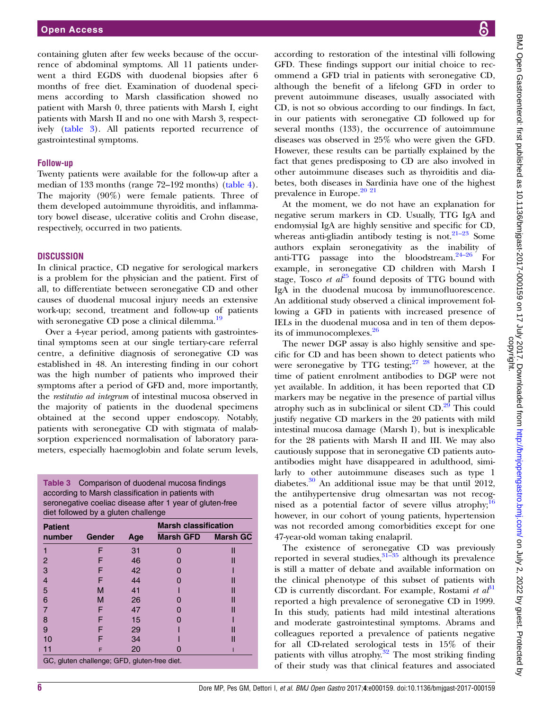containing gluten after few weeks because of the occurrence of abdominal symptoms. All 11 patients underwent a third EGDS with duodenal biopsies after 6 months of free diet. Examination of duodenal specimens according to Marsh classification showed no patient with Marsh 0, three patients with Marsh I, eight patients with Marsh II and no one with Marsh 3, respectively (table 3). All patients reported recurrence of gastrointestinal symptoms.

#### Follow-up

Twenty patients were available for the follow-up after a median of 133 months (range 72–192 months) [\(table 4\)](#page-6-0). The majority (90%) were female patients. Three of them developed autoimmune thyroiditis, and inflammatory bowel disease, ulcerative colitis and Crohn disease, respectively, occurred in two patients.

#### **DISCUSSION**

In clinical practice, CD negative for serological markers is a problem for the physician and the patient. First of all, to differentiate between seronegative CD and other causes of duodenal mucosal injury needs an extensive work-up; second, treatment and follow-up of patients with seronegative CD pose a clinical dilemma.<sup>[19](#page-7-0)</sup>

Over a 4-year period, among patients with gastrointestinal symptoms seen at our single tertiary-care referral centre, a definitive diagnosis of seronegative CD was established in 48. An interesting finding in our cohort was the high number of patients who improved their symptoms after a period of GFD and, more importantly, the restitutio ad integrum of intestinal mucosa observed in the majority of patients in the duodenal specimens obtained at the second upper endoscopy. Notably, patients with seronegative CD with stigmata of malabsorption experienced normalisation of laboratory parameters, especially haemoglobin and folate serum levels,

Table 3 Comparison of duodenal mucosa findings according to Marsh classification in patients with seronegative coeliac disease after 1 year of gluten-free diet followed by a gluten challenge

| <b>Patient</b>                               |        |     | <b>Marsh classification</b> |                 |
|----------------------------------------------|--------|-----|-----------------------------|-----------------|
| number                                       | Gender | Age | <b>Marsh GFD</b>            | <b>Marsh GC</b> |
|                                              | F      | 31  |                             | II              |
| 2                                            |        | 46  |                             |                 |
| 3                                            |        | 42  |                             |                 |
|                                              |        | 44  |                             |                 |
| 5                                            | м      | 41  |                             |                 |
| 6                                            | М      | 26  |                             |                 |
|                                              | F      | 47  |                             |                 |
| 8                                            |        | 15  |                             |                 |
| 9                                            |        | 29  |                             |                 |
| 10                                           |        | 34  |                             |                 |
|                                              | F      | 20  |                             |                 |
| GC, gluten challenge; GFD, gluten-free diet. |        |     |                             |                 |

according to restoration of the intestinal villi following GFD. These findings support our initial choice to recommend a GFD trial in patients with seronegative CD, although the benefit of a lifelong GFD in order to prevent autoimmune diseases, usually associated with CD, is not so obvious according to our findings. In fact, in our patients with seronegative CD followed up for several months (133), the occurrence of autoimmune diseases was observed in 25% who were given the GFD. However, these results can be partially explained by the fact that genes predisposing to CD are also involved in other autoimmune diseases such as thyroiditis and diabetes, both diseases in Sardinia have one of the highest prevalence in Europe.<sup>20</sup><sup>21</sup>

At the moment, we do not have an explanation for negative serum markers in CD. Usually, TTG IgA and endomysial IgA are highly sensitive and specific for CD, whereas anti-gliadin antibody testing is not.<sup>[21](#page-7-0)-23</sup> Some authors explain seronegativity as the inability of anti-TTG passage into the bloodstream.[24](#page-7-0)–<sup>26</sup> For example, in seronegative CD children with Marsh I stage, Tosco et  $a^{25}$  $a^{25}$  $a^{25}$  found deposits of TTG bound with IgA in the duodenal mucosa by immunofluorescence. An additional study observed a clinical improvement following a GFD in patients with increased presence of IELs in the duodenal mucosa and in ten of them deposits of immunocomplexes.[26](#page-7-0)

The newer DGP assay is also highly sensitive and specific for CD and has been shown to detect patients who were seronegative by TTG testing;  $27 \frac{28}{10}$  however, at the time of patient enrolment antibodies to DGP were not yet available. In addition, it has been reported that CD markers may be negative in the presence of partial villus atrophy such as in subclinical or silent  $CD<sup>29</sup>$  $CD<sup>29</sup>$  $CD<sup>29</sup>$ . This could justify negative CD markers in the 20 patients with mild intestinal mucosa damage (Marsh I), but is inexplicable for the 28 patients with Marsh II and III. We may also cautiously suppose that in seronegative CD patients autoantibodies might have disappeared in adulthood, similarly to other autoimmune diseases such as type 1 diabetes.<sup>[30](#page-7-0)</sup> An additional issue may be that until 2012, the antihypertensive drug olmesartan was not recog-nised as a potential factor of severe villus atrophy;<sup>[16](#page-7-0)</sup> however, in our cohort of young patients, hypertension was not recorded among comorbidities except for one 47-year-old woman taking enalapril.

The existence of seronegative CD was previously reported in several studies,  $31-35$  $31-35$  although its prevalence is still a matter of debate and available information on the clinical phenotype of this subset of patients with CD is currently discordant. For example, Rostami et  $a_1^{\beta 1}$ reported a high prevalence of seronegative CD in 1999. In this study, patients had mild intestinal alterations and moderate gastrointestinal symptoms. Abrams and colleagues reported a prevalence of patients negative for all CD-related serological tests in 15% of their patients with villus atrophy. $32$  The most striking finding of their study was that clinical features and associated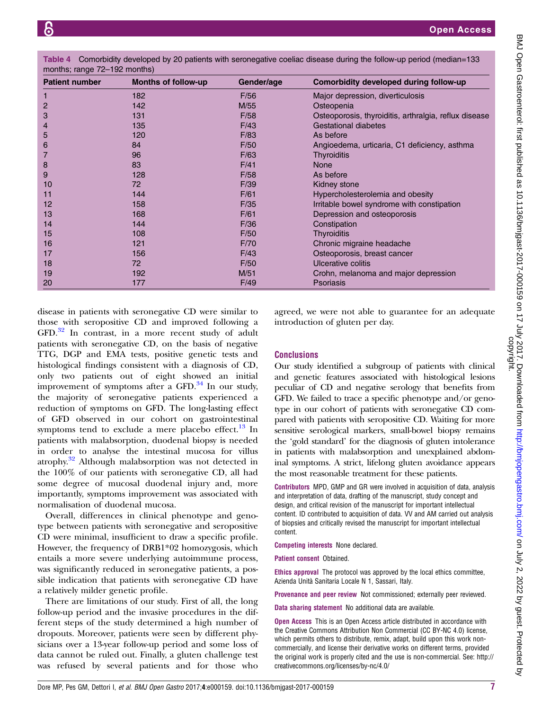<span id="page-6-0"></span>

| Table 4 Comorbidity developed by 20 patients with seronegative coeliac disease during the follow-up period (median=133 |  |  |  |
|------------------------------------------------------------------------------------------------------------------------|--|--|--|
| months; range 72–192 months)                                                                                           |  |  |  |

| <b>Patient number</b> | <b>Months of follow-up</b> | Gender/age | Comorbidity developed during follow-up                |
|-----------------------|----------------------------|------------|-------------------------------------------------------|
|                       | 182                        | F/56       | Major depression, diverticulosis                      |
| $\overline{2}$        | 142                        | M/55       | Osteopenia                                            |
| 3                     | 131                        | F/58       | Osteoporosis, thyroiditis, arthralgia, reflux disease |
| 4                     | 135                        | F/43       | Gestational diabetes                                  |
| 5                     | 120                        | F/83       | As before                                             |
| 6                     | 84                         | F/50       | Angioedema, urticaria, C1 deficiency, asthma          |
|                       | 96                         | F/63       | Thyroiditis                                           |
| 8                     | 83                         | F/41       | <b>None</b>                                           |
| 9                     | 128                        | F/58       | As before                                             |
| 10                    | 72                         | F/39       | Kidney stone                                          |
| 11                    | 144                        | F/61       | Hypercholesterolemia and obesity                      |
| $12 \overline{ }$     | 158                        | F/35       | Irritable bowel syndrome with constipation            |
| 13                    | 168                        | F/61       | Depression and osteoporosis                           |
| 14                    | 144                        | F/36       | Constipation                                          |
| 15                    | 108                        | F/50       | <b>Thyroiditis</b>                                    |
| 16                    | 121                        | F/70       | Chronic migraine headache                             |
| 17                    | 156                        | F/43       | Osteoporosis, breast cancer                           |
| 18                    | 72                         | F/50       | Ulcerative colitis                                    |
| 19                    | 192                        | M/51       | Crohn, melanoma and major depression                  |
| 20                    | 177                        | F/49       | <b>Psoriasis</b>                                      |

disease in patients with seronegative CD were similar to those with seropositive CD and improved following a GFD.[32](#page-7-0) In contrast, in a more recent study of adult patients with seronegative CD, on the basis of negative TTG, DGP and EMA tests, positive genetic tests and histological findings consistent with a diagnosis of CD, only two patients out of eight showed an initial improvement of symptoms after a  $GFD$ .<sup>[34](#page-7-0)</sup> In our study, the majority of seronegative patients experienced a reduction of symptoms on GFD. The long-lasting effect of GFD observed in our cohort on gastrointestinal symptoms tend to exclude a mere placebo effect. $^{13}$  $^{13}$  $^{13}$  In patients with malabsorption, duodenal biopsy is needed in order to analyse the intestinal mucosa for villus atrophy.<sup>32</sup> Although malabsorption was not detected in the 100% of our patients with seronegative CD, all had some degree of mucosal duodenal injury and, more importantly, symptoms improvement was associated with normalisation of duodenal mucosa.

Overall, differences in clinical phenotype and genotype between patients with seronegative and seropositive CD were minimal, insufficient to draw a specific profile. However, the frequency of DRB1\*02 homozygosis, which entails a more severe underlying autoimmune process, was significantly reduced in seronegative patients, a possible indication that patients with seronegative CD have a relatively milder genetic profile.

There are limitations of our study. First of all, the long follow-up period and the invasive procedures in the different steps of the study determined a high number of dropouts. Moreover, patients were seen by different physicians over a 13-year follow-up period and some loss of data cannot be ruled out. Finally, a gluten challenge test was refused by several patients and for those who

agreed, we were not able to guarantee for an adequate introduction of gluten per day.

# **Conclusions**

Our study identified a subgroup of patients with clinical and genetic features associated with histological lesions peculiar of CD and negative serology that benefits from GFD. We failed to trace a specific phenotype and/or genotype in our cohort of patients with seronegative CD compared with patients with seropositive CD. Waiting for more sensitive serological markers, small-bowel biopsy remains the 'gold standard' for the diagnosis of gluten intolerance in patients with malabsorption and unexplained abdominal symptoms. A strict, lifelong gluten avoidance appears the most reasonable treatment for these patients.

Contributors MPD, GMP and GR were involved in acquisition of data, analysis and interpretation of data, drafting of the manuscript, study concept and design, and critical revision of the manuscript for important intellectual content. ID contributed to acquisition of data. VV and AM carried out analysis of biopsies and critically revised the manuscript for important intellectual content.

Competing interests None declared.

Patient consent Obtained.

Ethics approval The protocol was approved by the local ethics committee, Azienda Unità Sanitaria Locale N 1, Sassari, Italy.

Provenance and peer review Not commissioned; externally peer reviewed.

Data sharing statement No additional data are available.

**Open Access** This is an Open Access article distributed in accordance with the Creative Commons Attribution Non Commercial (CC BY-NC 4.0) license, which permits others to distribute, remix, adapt, build upon this work noncommercially, and license their derivative works on different terms, provided the original work is properly cited and the use is non-commercial. See: [http://](http://creativecommons.org/licenses/by-nc/4.0/) [creativecommons.org/licenses/by-nc/4.0/](http://creativecommons.org/licenses/by-nc/4.0/)